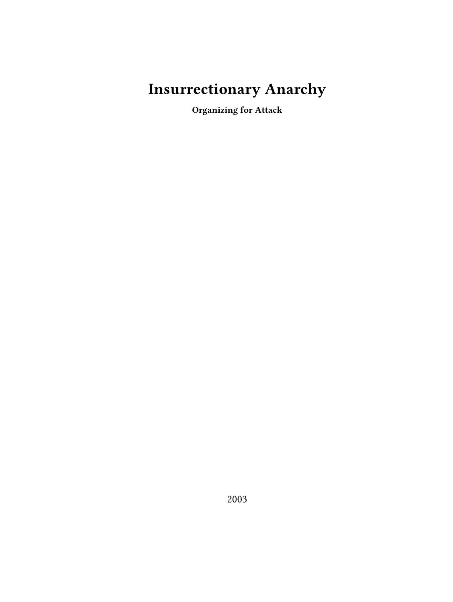# **Insurrectionary Anarchy**

**Organizing for Attack**

2003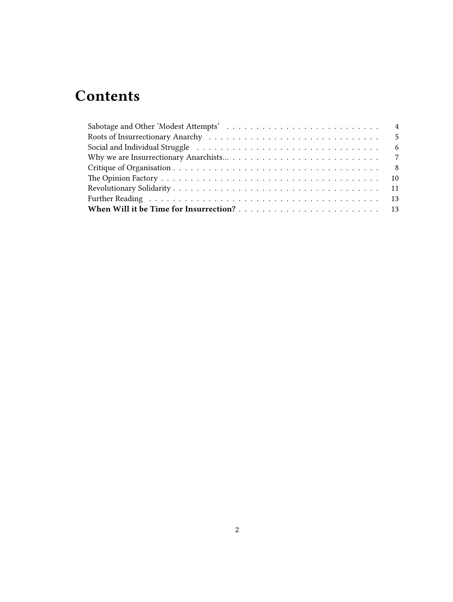# **Contents**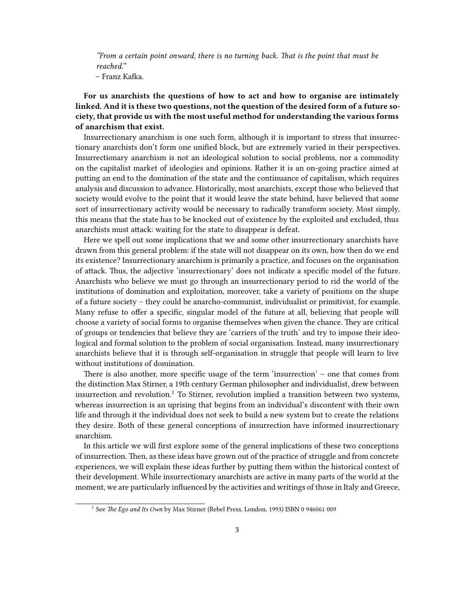*"From a certain point onward, there is no turning back. That is the point that must be reached."*

– Franz Kafka.

**For us anarchists the questions of how to act and how to organise are intimately linked. And it is these two questions, not the question of the desired form of a future society, that provide us with the most useful method for understanding the various forms of anarchism that exist.**

Insurrectionary anarchism is one such form, although it is important to stress that insurrectionary anarchists don't form one unified block, but are extremely varied in their perspectives. Insurrectionary anarchism is not an ideological solution to social problems, nor a commodity on the capitalist market of ideologies and opinions. Rather it is an on-going practice aimed at putting an end to the domination of the state and the continuance of capitalism, which requires analysis and discussion to advance. Historically, most anarchists, except those who believed that society would evolve to the point that it would leave the state behind, have believed that some sort of insurrectionary activity would be necessary to radically transform society. Most simply, this means that the state has to be knocked out of existence by the exploited and excluded, thus anarchists must attack: waiting for the state to disappear is defeat.

Here we spell out some implications that we and some other insurrectionary anarchists have drawn from this general problem: if the state will not disappear on its own, how then do we end its existence? Insurrectionary anarchism is primarily a practice, and focuses on the organisation of attack. Thus, the adjective 'insurrectionary' does not indicate a specific model of the future. Anarchists who believe we must go through an insurrectionary period to rid the world of the institutions of domination and exploitation, moreover, take a variety of positions on the shape of a future society – they could be anarcho-communist, individualist or primitivist, for example. Many refuse to offer a specific, singular model of the future at all, believing that people will choose a variety of social forms to organise themselves when given the chance. They are critical of groups or tendencies that believe they are 'carriers of the truth' and try to impose their ideological and formal solution to the problem of social organisation. Instead, many insurrectionary anarchists believe that it is through self-organisation in struggle that people will learn to live without institutions of domination.

There is also another, more specific usage of the term 'insurrection' – one that comes from the distinction Max Stirner, a 19th century German philosopher and individualist, drew between insurrection and revolution.<sup>1</sup> To Stirner, revolution implied a transition between two systems, whereas insurrection is an uprising that begins from an individual's discontent with their own life and through it the individual does not seek to build a new system but to create the relations they desire. Both of these general conceptions of insurrection have informed insurrectionary anarchism.

In this article we will first explore some of the general implications of these two conceptions of insurrection. Then, as these ideas have grown out of the practice of struggle and from concrete experiences, we will explain these ideas further by putting them within the historical context of their development. While insurrectionary anarchists are active in many parts of the world at the moment, we are particularly influenced by the activities and writings of those in Italy and Greece,

<sup>&</sup>lt;sup>1</sup> See *The Ego and Its Own* by Max Stirner (Rebel Press, London, 1993) ISBN 0 946061 009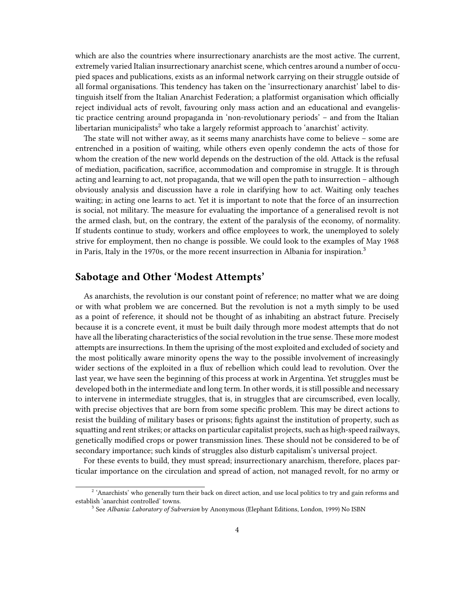which are also the countries where insurrectionary anarchists are the most active. The current, extremely varied Italian insurrectionary anarchist scene, which centres around a number of occupied spaces and publications, exists as an informal network carrying on their struggle outside of all formal organisations. This tendency has taken on the 'insurrectionary anarchist' label to distinguish itself from the Italian Anarchist Federation; a platformist organisation which officially reject individual acts of revolt, favouring only mass action and an educational and evangelistic practice centring around propaganda in 'non-revolutionary periods' – and from the Italian libertarian municipalists<sup>2</sup> who take a largely reformist approach to 'anarchist' activity.

The state will not wither away, as it seems many anarchists have come to believe – some are entrenched in a position of waiting, while others even openly condemn the acts of those for whom the creation of the new world depends on the destruction of the old. Attack is the refusal of mediation, pacification, sacrifice, accommodation and compromise in struggle. It is through acting and learning to act, not propaganda, that we will open the path to insurrection – although obviously analysis and discussion have a role in clarifying how to act. Waiting only teaches waiting; in acting one learns to act. Yet it is important to note that the force of an insurrection is social, not military. The measure for evaluating the importance of a generalised revolt is not the armed clash, but, on the contrary, the extent of the paralysis of the economy, of normality. If students continue to study, workers and office employees to work, the unemployed to solely strive for employment, then no change is possible. We could look to the examples of May 1968 in Paris, Italy in the 1970s, or the more recent insurrection in Albania for inspiration.<sup>3</sup>

#### <span id="page-3-0"></span>**Sabotage and Other 'Modest Attempts'**

As anarchists, the revolution is our constant point of reference; no matter what we are doing or with what problem we are concerned. But the revolution is not a myth simply to be used as a point of reference, it should not be thought of as inhabiting an abstract future. Precisely because it is a concrete event, it must be built daily through more modest attempts that do not have all the liberating characteristics of the social revolution in the true sense. These more modest attempts are insurrections. In them the uprising of the most exploited and excluded of society and the most politically aware minority opens the way to the possible involvement of increasingly wider sections of the exploited in a flux of rebellion which could lead to revolution. Over the last year, we have seen the beginning of this process at work in Argentina. Yet struggles must be developed both in the intermediate and long term. In other words, it is still possible and necessary to intervene in intermediate struggles, that is, in struggles that are circumscribed, even locally, with precise objectives that are born from some specific problem. This may be direct actions to resist the building of military bases or prisons; fights against the institution of property, such as squatting and rent strikes; or attacks on particular capitalist projects, such as high-speed railways, genetically modified crops or power transmission lines. These should not be considered to be of secondary importance; such kinds of struggles also disturb capitalism's universal project.

For these events to build, they must spread; insurrectionary anarchism, therefore, places particular importance on the circulation and spread of action, not managed revolt, for no army or

<sup>&</sup>lt;sup>2</sup> 'Anarchists' who generally turn their back on direct action, and use local politics to try and gain reforms and establish 'anarchist controlled' towns.

<sup>3</sup> See *Albania: Laboratory of Subversion* by Anonymous (Elephant Editions, London, 1999) No ISBN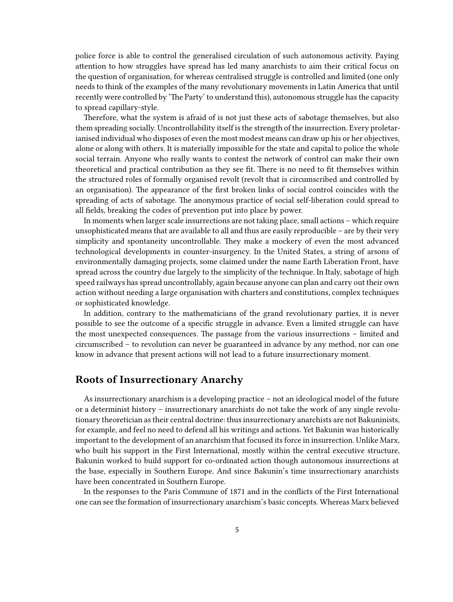police force is able to control the generalised circulation of such autonomous activity. Paying attention to how struggles have spread has led many anarchists to aim their critical focus on the question of organisation, for whereas centralised struggle is controlled and limited (one only needs to think of the examples of the many revolutionary movements in Latin America that until recently were controlled by 'The Party' to understand this), autonomous struggle has the capacity to spread capillary-style.

Therefore, what the system is afraid of is not just these acts of sabotage themselves, but also them spreading socially. Uncontrollability itself is the strength of the insurrection. Every proletarianised individual who disposes of even the most modest means can draw up his or her objectives, alone or along with others. It is materially impossible for the state and capital to police the whole social terrain. Anyone who really wants to contest the network of control can make their own theoretical and practical contribution as they see fit. There is no need to fit themselves within the structured roles of formally organised revolt (revolt that is circumscribed and controlled by an organisation). The appearance of the first broken links of social control coincides with the spreading of acts of sabotage. The anonymous practice of social self-liberation could spread to all fields, breaking the codes of prevention put into place by power.

In moments when larger scale insurrections are not taking place, small actions – which require unsophisticated means that are available to all and thus are easily reproducible – are by their very simplicity and spontaneity uncontrollable. They make a mockery of even the most advanced technological developments in counter-insurgency. In the United States, a string of arsons of environmentally damaging projects, some claimed under the name Earth Liberation Front, have spread across the country due largely to the simplicity of the technique. In Italy, sabotage of high speed railways has spread uncontrollably, again because anyone can plan and carry out their own action without needing a large organisation with charters and constitutions, complex techniques or sophisticated knowledge.

In addition, contrary to the mathematicians of the grand revolutionary parties, it is never possible to see the outcome of a specific struggle in advance. Even a limited struggle can have the most unexpected consequences. The passage from the various insurrections – limited and circumscribed – to revolution can never be guaranteed in advance by any method, nor can one know in advance that present actions will not lead to a future insurrectionary moment.

#### <span id="page-4-0"></span>**Roots of Insurrectionary Anarchy**

As insurrectionary anarchism is a developing practice – not an ideological model of the future or a determinist history – insurrectionary anarchists do not take the work of any single revolutionary theoretician as their central doctrine: thus insurrectionary anarchists are not Bakuninists, for example, and feel no need to defend all his writings and actions. Yet Bakunin was historically important to the development of an anarchism that focused its force in insurrection. Unlike Marx, who built his support in the First International, mostly within the central executive structure, Bakunin worked to build support for co-ordinated action though autonomous insurrections at the base, especially in Southern Europe. And since Bakunin's time insurrectionary anarchists have been concentrated in Southern Europe.

In the responses to the Paris Commune of 1871 and in the conflicts of the First International one can see the formation of insurrectionary anarchism's basic concepts. Whereas Marx believed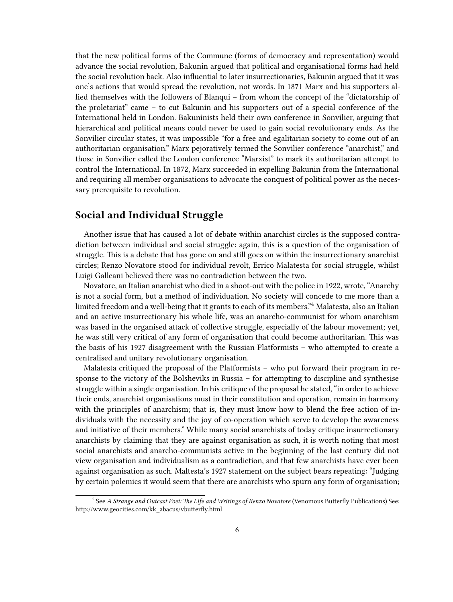that the new political forms of the Commune (forms of democracy and representation) would advance the social revolution, Bakunin argued that political and organisational forms had held the social revolution back. Also influential to later insurrectionaries, Bakunin argued that it was one's actions that would spread the revolution, not words. In 1871 Marx and his supporters allied themselves with the followers of Blanqui – from whom the concept of the "dictatorship of the proletariat" came – to cut Bakunin and his supporters out of a special conference of the International held in London. Bakuninists held their own conference in Sonvilier, arguing that hierarchical and political means could never be used to gain social revolutionary ends. As the Sonvilier circular states, it was impossible "for a free and egalitarian society to come out of an authoritarian organisation." Marx pejoratively termed the Sonvilier conference "anarchist," and those in Sonvilier called the London conference "Marxist" to mark its authoritarian attempt to control the International. In 1872, Marx succeeded in expelling Bakunin from the International and requiring all member organisations to advocate the conquest of political power as the necessary prerequisite to revolution.

# <span id="page-5-0"></span>**Social and Individual Struggle**

Another issue that has caused a lot of debate within anarchist circles is the supposed contradiction between individual and social struggle: again, this is a question of the organisation of struggle. This is a debate that has gone on and still goes on within the insurrectionary anarchist circles; Renzo Novatore stood for individual revolt, Errico Malatesta for social struggle, whilst Luigi Galleani believed there was no contradiction between the two.

Novatore, an Italian anarchist who died in a shoot-out with the police in 1922, wrote, "Anarchy is not a social form, but a method of individuation. No society will concede to me more than a limited freedom and a well-being that it grants to each of its members."<sup>4</sup> Malatesta, also an Italian and an active insurrectionary his whole life, was an anarcho-communist for whom anarchism was based in the organised attack of collective struggle, especially of the labour movement; yet, he was still very critical of any form of organisation that could become authoritarian. This was the basis of his 1927 disagreement with the Russian Platformists – who attempted to create a centralised and unitary revolutionary organisation.

Malatesta critiqued the proposal of the Platformists – who put forward their program in response to the victory of the Bolsheviks in Russia – for attempting to discipline and synthesise struggle within a single organisation. In his critique of the proposal he stated, "in order to achieve their ends, anarchist organisations must in their constitution and operation, remain in harmony with the principles of anarchism; that is, they must know how to blend the free action of individuals with the necessity and the joy of co-operation which serve to develop the awareness and initiative of their members." While many social anarchists of today critique insurrectionary anarchists by claiming that they are against organisation as such, it is worth noting that most social anarchists and anarcho-communists active in the beginning of the last century did not view organisation and individualism as a contradiction, and that few anarchists have ever been against organisation as such. Maltesta's 1927 statement on the subject bears repeating: "Judging by certain polemics it would seem that there are anarchists who spurn any form of organisation;

<sup>4</sup> See *A Strange and Outcast Poet: The Life and Writings of Renzo Novatore* (Venomous Butterfly Publications) See: http://www.geocities.com/kk\_abacus/vbutterfly.html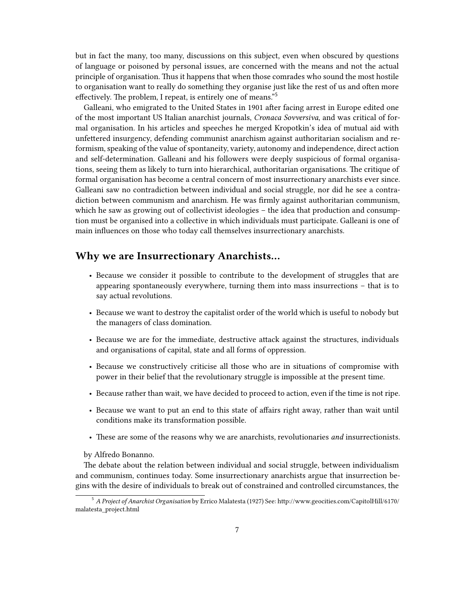but in fact the many, too many, discussions on this subject, even when obscured by questions of language or poisoned by personal issues, are concerned with the means and not the actual principle of organisation. Thus it happens that when those comrades who sound the most hostile to organisation want to really do something they organise just like the rest of us and often more effectively. The problem, I repeat, is entirely one of means."<sup>5</sup>

Galleani, who emigrated to the United States in 1901 after facing arrest in Europe edited one of the most important US Italian anarchist journals, *Cronaca Sovversiva*, and was critical of formal organisation. In his articles and speeches he merged Kropotkin's idea of mutual aid with unfettered insurgency, defending communist anarchism against authoritarian socialism and reformism, speaking of the value of spontaneity, variety, autonomy and independence, direct action and self-determination. Galleani and his followers were deeply suspicious of formal organisations, seeing them as likely to turn into hierarchical, authoritarian organisations. The critique of formal organisation has become a central concern of most insurrectionary anarchists ever since. Galleani saw no contradiction between individual and social struggle, nor did he see a contradiction between communism and anarchism. He was firmly against authoritarian communism, which he saw as growing out of collectivist ideologies – the idea that production and consumption must be organised into a collective in which individuals must participate. Galleani is one of main influences on those who today call themselves insurrectionary anarchists.

### <span id="page-6-0"></span>**Why we are Insurrectionary Anarchists…**

- Because we consider it possible to contribute to the development of struggles that are appearing spontaneously everywhere, turning them into mass insurrections – that is to say actual revolutions.
- Because we want to destroy the capitalist order of the world which is useful to nobody but the managers of class domination.
- Because we are for the immediate, destructive attack against the structures, individuals and organisations of capital, state and all forms of oppression.
- Because we constructively criticise all those who are in situations of compromise with power in their belief that the revolutionary struggle is impossible at the present time.
- Because rather than wait, we have decided to proceed to action, even if the time is not ripe.
- Because we want to put an end to this state of affairs right away, rather than wait until conditions make its transformation possible.
- These are some of the reasons why we are anarchists, revolutionaries *and* insurrectionists.

by Alfredo Bonanno.

The debate about the relation between individual and social struggle, between individualism and communism, continues today. Some insurrectionary anarchists argue that insurrection begins with the desire of individuals to break out of constrained and controlled circumstances, the

<sup>5</sup> *A Project of Anarchist Organisation* by Errico Malatesta (1927) See: http://www.geocities.com/CapitolHill/6170/ malatesta\_project.html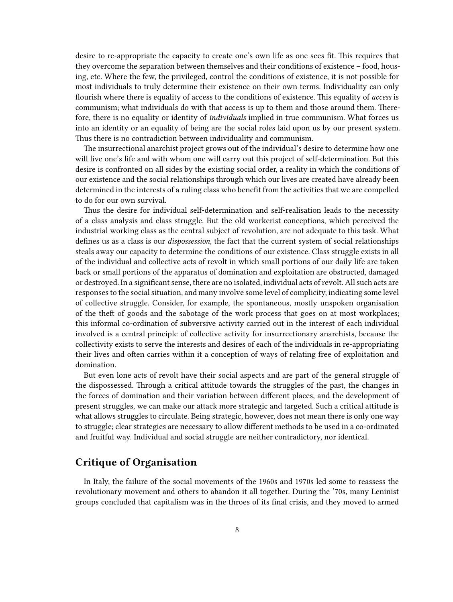desire to re-appropriate the capacity to create one's own life as one sees fit. This requires that they overcome the separation between themselves and their conditions of existence – food, housing, etc. Where the few, the privileged, control the conditions of existence, it is not possible for most individuals to truly determine their existence on their own terms. Individuality can only flourish where there is equality of access to the conditions of existence. This equality of *access* is communism; what individuals do with that access is up to them and those around them. Therefore, there is no equality or identity of *individuals* implied in true communism. What forces us into an identity or an equality of being are the social roles laid upon us by our present system. Thus there is no contradiction between individuality and communism.

The insurrectional anarchist project grows out of the individual's desire to determine how one will live one's life and with whom one will carry out this project of self-determination. But this desire is confronted on all sides by the existing social order, a reality in which the conditions of our existence and the social relationships through which our lives are created have already been determined in the interests of a ruling class who benefit from the activities that we are compelled to do for our own survival.

Thus the desire for individual self-determination and self-realisation leads to the necessity of a class analysis and class struggle. But the old workerist conceptions, which perceived the industrial working class as the central subject of revolution, are not adequate to this task. What defines us as a class is our *dispossession*, the fact that the current system of social relationships steals away our capacity to determine the conditions of our existence. Class struggle exists in all of the individual and collective acts of revolt in which small portions of our daily life are taken back or small portions of the apparatus of domination and exploitation are obstructed, damaged or destroyed. In a significant sense, there are no isolated, individual acts of revolt. All such acts are responses to the social situation, and many involve some level of complicity, indicating some level of collective struggle. Consider, for example, the spontaneous, mostly unspoken organisation of the theft of goods and the sabotage of the work process that goes on at most workplaces; this informal co-ordination of subversive activity carried out in the interest of each individual involved is a central principle of collective activity for insurrectionary anarchists, because the collectivity exists to serve the interests and desires of each of the individuals in re-appropriating their lives and often carries within it a conception of ways of relating free of exploitation and domination.

But even lone acts of revolt have their social aspects and are part of the general struggle of the dispossessed. Through a critical attitude towards the struggles of the past, the changes in the forces of domination and their variation between different places, and the development of present struggles, we can make our attack more strategic and targeted. Such a critical attitude is what allows struggles to circulate. Being strategic, however, does not mean there is only one way to struggle; clear strategies are necessary to allow different methods to be used in a co-ordinated and fruitful way. Individual and social struggle are neither contradictory, nor identical.

### <span id="page-7-0"></span>**Critique of Organisation**

In Italy, the failure of the social movements of the 1960s and 1970s led some to reassess the revolutionary movement and others to abandon it all together. During the '70s, many Leninist groups concluded that capitalism was in the throes of its final crisis, and they moved to armed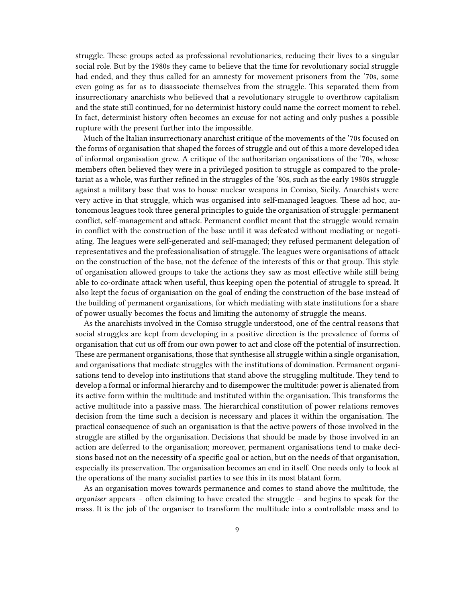struggle. These groups acted as professional revolutionaries, reducing their lives to a singular social role. But by the 1980s they came to believe that the time for revolutionary social struggle had ended, and they thus called for an amnesty for movement prisoners from the '70s, some even going as far as to disassociate themselves from the struggle. This separated them from insurrectionary anarchists who believed that a revolutionary struggle to overthrow capitalism and the state still continued, for no determinist history could name the correct moment to rebel. In fact, determinist history often becomes an excuse for not acting and only pushes a possible rupture with the present further into the impossible.

Much of the Italian insurrectionary anarchist critique of the movements of the '70s focused on the forms of organisation that shaped the forces of struggle and out of this a more developed idea of informal organisation grew. A critique of the authoritarian organisations of the '70s, whose members often believed they were in a privileged position to struggle as compared to the proletariat as a whole, was further refined in the struggles of the '80s, such as the early 1980s struggle against a military base that was to house nuclear weapons in Comiso, Sicily. Anarchists were very active in that struggle, which was organised into self-managed leagues. These ad hoc, autonomous leagues took three general principles to guide the organisation of struggle: permanent conflict, self-management and attack. Permanent conflict meant that the struggle would remain in conflict with the construction of the base until it was defeated without mediating or negotiating. The leagues were self-generated and self-managed; they refused permanent delegation of representatives and the professionalisation of struggle. The leagues were organisations of attack on the construction of the base, not the defence of the interests of this or that group. This style of organisation allowed groups to take the actions they saw as most effective while still being able to co-ordinate attack when useful, thus keeping open the potential of struggle to spread. It also kept the focus of organisation on the goal of ending the construction of the base instead of the building of permanent organisations, for which mediating with state institutions for a share of power usually becomes the focus and limiting the autonomy of struggle the means.

As the anarchists involved in the Comiso struggle understood, one of the central reasons that social struggles are kept from developing in a positive direction is the prevalence of forms of organisation that cut us off from our own power to act and close off the potential of insurrection. These are permanent organisations, those that synthesise all struggle within a single organisation, and organisations that mediate struggles with the institutions of domination. Permanent organisations tend to develop into institutions that stand above the struggling multitude. They tend to develop a formal or informal hierarchy and to disempower the multitude: power is alienated from its active form within the multitude and instituted within the organisation. This transforms the active multitude into a passive mass. The hierarchical constitution of power relations removes decision from the time such a decision is necessary and places it within the organisation. The practical consequence of such an organisation is that the active powers of those involved in the struggle are stifled by the organisation. Decisions that should be made by those involved in an action are deferred to the organisation; moreover, permanent organisations tend to make decisions based not on the necessity of a specific goal or action, but on the needs of that organisation, especially its preservation. The organisation becomes an end in itself. One needs only to look at the operations of the many socialist parties to see this in its most blatant form.

As an organisation moves towards permanence and comes to stand above the multitude, the *organiser* appears – often claiming to have created the struggle – and begins to speak for the mass. It is the job of the organiser to transform the multitude into a controllable mass and to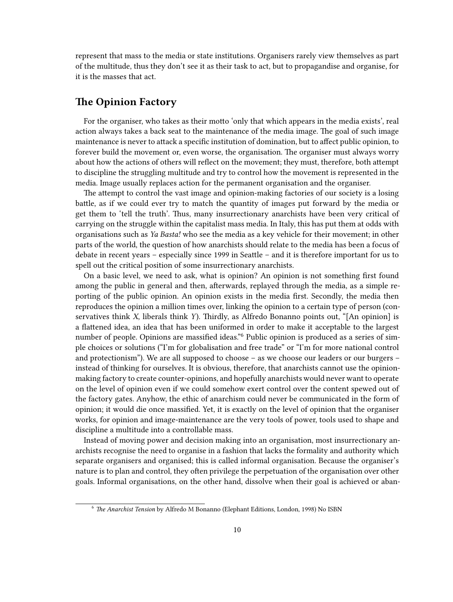represent that mass to the media or state institutions. Organisers rarely view themselves as part of the multitude, thus they don't see it as their task to act, but to propagandise and organise, for it is the masses that act.

## <span id="page-9-0"></span>**The Opinion Factory**

For the organiser, who takes as their motto 'only that which appears in the media exists', real action always takes a back seat to the maintenance of the media image. The goal of such image maintenance is never to attack a specific institution of domination, but to affect public opinion, to forever build the movement or, even worse, the organisation. The organiser must always worry about how the actions of others will reflect on the movement; they must, therefore, both attempt to discipline the struggling multitude and try to control how the movement is represented in the media. Image usually replaces action for the permanent organisation and the organiser.

The attempt to control the vast image and opinion-making factories of our society is a losing battle, as if we could ever try to match the quantity of images put forward by the media or get them to 'tell the truth'. Thus, many insurrectionary anarchists have been very critical of carrying on the struggle within the capitalist mass media. In Italy, this has put them at odds with organisations such as *Ya Basta!* who see the media as a key vehicle for their movement; in other parts of the world, the question of how anarchists should relate to the media has been a focus of debate in recent years – especially since 1999 in Seattle – and it is therefore important for us to spell out the critical position of some insurrectionary anarchists.

On a basic level, we need to ask, what is opinion? An opinion is not something first found among the public in general and then, afterwards, replayed through the media, as a simple reporting of the public opinion. An opinion exists in the media first. Secondly, the media then reproduces the opinion a million times over, linking the opinion to a certain type of person (conservatives think *X*, liberals think *Y*). Thirdly, as Alfredo Bonanno points out, "[An opinion] is a flattened idea, an idea that has been uniformed in order to make it acceptable to the largest number of people. Opinions are massified ideas."<sup>6</sup> Public opinion is produced as a series of simple choices or solutions ("I'm for globalisation and free trade" or "I'm for more national control and protectionism"). We are all supposed to choose – as we choose our leaders or our burgers – instead of thinking for ourselves. It is obvious, therefore, that anarchists cannot use the opinionmaking factory to create counter-opinions, and hopefully anarchists would never want to operate on the level of opinion even if we could somehow exert control over the content spewed out of the factory gates. Anyhow, the ethic of anarchism could never be communicated in the form of opinion; it would die once massified. Yet, it is exactly on the level of opinion that the organiser works, for opinion and image-maintenance are the very tools of power, tools used to shape and discipline a multitude into a controllable mass.

Instead of moving power and decision making into an organisation, most insurrectionary anarchists recognise the need to organise in a fashion that lacks the formality and authority which separate organisers and organised; this is called informal organisation. Because the organiser's nature is to plan and control, they often privilege the perpetuation of the organisation over other goals. Informal organisations, on the other hand, dissolve when their goal is achieved or aban-

<sup>6</sup> *The Anarchist Tension* by Alfredo M Bonanno (Elephant Editions, London, 1998) No ISBN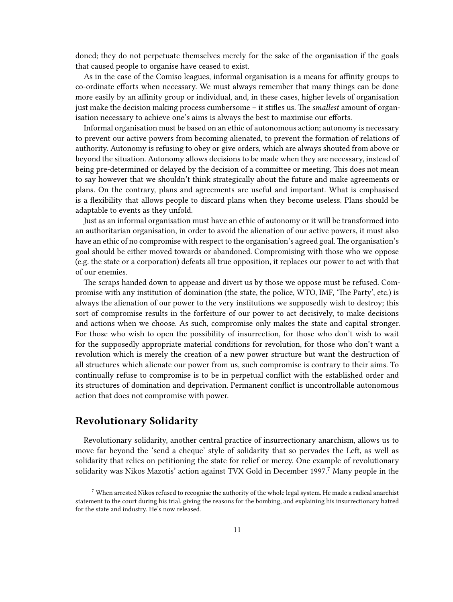doned; they do not perpetuate themselves merely for the sake of the organisation if the goals that caused people to organise have ceased to exist.

As in the case of the Comiso leagues, informal organisation is a means for affinity groups to co-ordinate efforts when necessary. We must always remember that many things can be done more easily by an affinity group or individual, and, in these cases, higher levels of organisation just make the decision making process cumbersome – it stifles us. The *smallest* amount of organisation necessary to achieve one's aims is always the best to maximise our efforts.

Informal organisation must be based on an ethic of autonomous action; autonomy is necessary to prevent our active powers from becoming alienated, to prevent the formation of relations of authority. Autonomy is refusing to obey or give orders, which are always shouted from above or beyond the situation. Autonomy allows decisions to be made when they are necessary, instead of being pre-determined or delayed by the decision of a committee or meeting. This does not mean to say however that we shouldn't think strategically about the future and make agreements or plans. On the contrary, plans and agreements are useful and important. What is emphasised is a flexibility that allows people to discard plans when they become useless. Plans should be adaptable to events as they unfold.

Just as an informal organisation must have an ethic of autonomy or it will be transformed into an authoritarian organisation, in order to avoid the alienation of our active powers, it must also have an ethic of no compromise with respect to the organisation's agreed goal. The organisation's goal should be either moved towards or abandoned. Compromising with those who we oppose (e.g. the state or a corporation) defeats all true opposition, it replaces our power to act with that of our enemies.

The scraps handed down to appease and divert us by those we oppose must be refused. Compromise with any institution of domination (the state, the police, WTO, IMF, 'The Party', etc.) is always the alienation of our power to the very institutions we supposedly wish to destroy; this sort of compromise results in the forfeiture of our power to act decisively, to make decisions and actions when we choose. As such, compromise only makes the state and capital stronger. For those who wish to open the possibility of insurrection, for those who don't wish to wait for the supposedly appropriate material conditions for revolution, for those who don't want a revolution which is merely the creation of a new power structure but want the destruction of all structures which alienate our power from us, such compromise is contrary to their aims. To continually refuse to compromise is to be in perpetual conflict with the established order and its structures of domination and deprivation. Permanent conflict is uncontrollable autonomous action that does not compromise with power.

#### <span id="page-10-0"></span>**Revolutionary Solidarity**

Revolutionary solidarity, another central practice of insurrectionary anarchism, allows us to move far beyond the 'send a cheque' style of solidarity that so pervades the Left, as well as solidarity that relies on petitioning the state for relief or mercy. One example of revolutionary solidarity was Nikos Mazotis' action against TVX Gold in December 1997.<sup>7</sup> Many people in the

 $7$  When arrested Nikos refused to recognise the authority of the whole legal system. He made a radical anarchist statement to the court during his trial, giving the reasons for the bombing, and explaining his insurrectionary hatred for the state and industry. He's now released.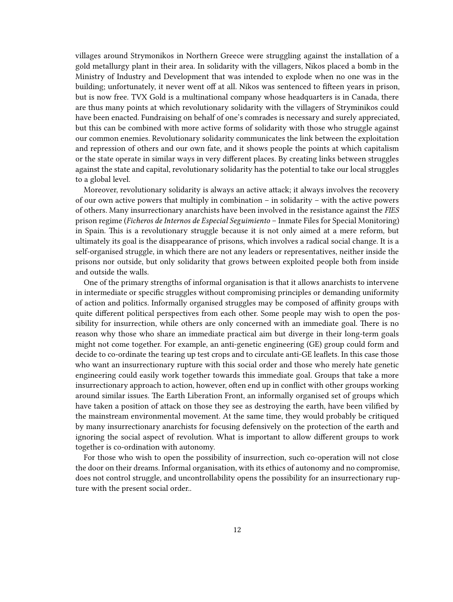villages around Strymonikos in Northern Greece were struggling against the installation of a gold metallurgy plant in their area. In solidarity with the villagers, Nikos placed a bomb in the Ministry of Industry and Development that was intended to explode when no one was in the building; unfortunately, it never went off at all. Nikos was sentenced to fifteen years in prison, but is now free. TVX Gold is a multinational company whose headquarters is in Canada, there are thus many points at which revolutionary solidarity with the villagers of Stryminikos could have been enacted. Fundraising on behalf of one's comrades is necessary and surely appreciated, but this can be combined with more active forms of solidarity with those who struggle against our common enemies. Revolutionary solidarity communicates the link between the exploitation and repression of others and our own fate, and it shows people the points at which capitalism or the state operate in similar ways in very different places. By creating links between struggles against the state and capital, revolutionary solidarity has the potential to take our local struggles to a global level.

Moreover, revolutionary solidarity is always an active attack; it always involves the recovery of our own active powers that multiply in combination – in solidarity – with the active powers of others. Many insurrectionary anarchists have been involved in the resistance against the *FIES* prison regime (*Ficheros de Internos de Especial Seguimiento* – Inmate Files for Special Monitoring) in Spain. This is a revolutionary struggle because it is not only aimed at a mere reform, but ultimately its goal is the disappearance of prisons, which involves a radical social change. It is a self-organised struggle, in which there are not any leaders or representatives, neither inside the prisons nor outside, but only solidarity that grows between exploited people both from inside and outside the walls.

One of the primary strengths of informal organisation is that it allows anarchists to intervene in intermediate or specific struggles without compromising principles or demanding uniformity of action and politics. Informally organised struggles may be composed of affinity groups with quite different political perspectives from each other. Some people may wish to open the possibility for insurrection, while others are only concerned with an immediate goal. There is no reason why those who share an immediate practical aim but diverge in their long-term goals might not come together. For example, an anti-genetic engineering (GE) group could form and decide to co-ordinate the tearing up test crops and to circulate anti-GE leaflets. In this case those who want an insurrectionary rupture with this social order and those who merely hate genetic engineering could easily work together towards this immediate goal. Groups that take a more insurrectionary approach to action, however, often end up in conflict with other groups working around similar issues. The Earth Liberation Front, an informally organised set of groups which have taken a position of attack on those they see as destroying the earth, have been vilified by the mainstream environmental movement. At the same time, they would probably be critiqued by many insurrectionary anarchists for focusing defensively on the protection of the earth and ignoring the social aspect of revolution. What is important to allow different groups to work together is co-ordination with autonomy.

For those who wish to open the possibility of insurrection, such co-operation will not close the door on their dreams. Informal organisation, with its ethics of autonomy and no compromise, does not control struggle, and uncontrollability opens the possibility for an insurrectionary rupture with the present social order..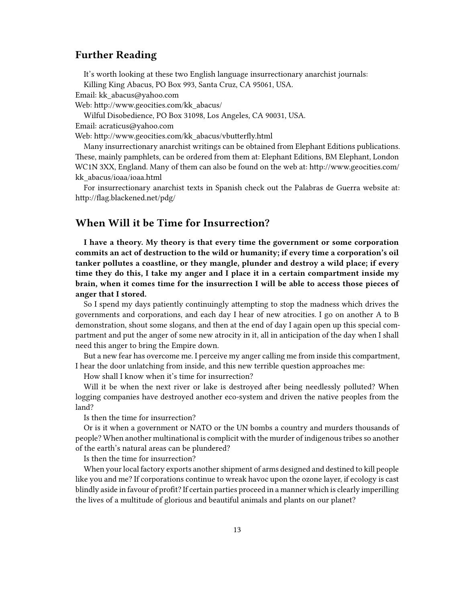# <span id="page-12-0"></span>**Further Reading**

It's worth looking at these two English language insurrectionary anarchist journals:

Killing King Abacus, PO Box 993, Santa Cruz, CA 95061, USA.

Email: kk\_abacus@yahoo.com

Web: [http://www.geocities.com/kk\\_abacus/](http://www.geocities.com/kk_abacus/)

Wilful Disobedience, PO Box 31098, Los Angeles, CA 90031, USA.

Email: acraticus@yahoo.com

Web: [http://www.geocities.com/kk\\_abacus/vbutterfly.html](http://www.geocities.com/kk_abacus/vbutterfly.html)

Many insurrectionary anarchist writings can be obtained from Elephant Editions publications. These, mainly pamphlets, can be ordered from them at: Elephant Editions, BM Elephant, London WC1N 3XX, England. Many of them can also be found on the web at: http://www.geocities.com/ kk\_abacus/ioaa/ioaa.html

For insurrectionary anarchist texts in Spanish check out the Palabras de Guerra website at: http://flag.blackened.net/pdg/

### <span id="page-12-1"></span>**When Will it be Time for Insurrection?**

**I have a theory. My theory is that every time the government or some corporation commits an act of destruction to the wild or humanity; if every time a corporation's oil tanker pollutes a coastline, or they mangle, plunder and destroy a wild place; if every time they do this, I take my anger and I place it in a certain compartment inside my brain, when it comes time for the insurrection I will be able to access those pieces of anger that I stored.**

So I spend my days patiently continuingly attempting to stop the madness which drives the governments and corporations, and each day I hear of new atrocities. I go on another A to B demonstration, shout some slogans, and then at the end of day I again open up this special compartment and put the anger of some new atrocity in it, all in anticipation of the day when I shall need this anger to bring the Empire down.

But a new fear has overcome me. I perceive my anger calling me from inside this compartment, I hear the door unlatching from inside, and this new terrible question approaches me:

How shall I know when it's time for insurrection?

Will it be when the next river or lake is destroyed after being needlessly polluted? When logging companies have destroyed another eco-system and driven the native peoples from the land?

Is then the time for insurrection?

Or is it when a government or NATO or the UN bombs a country and murders thousands of people? When another multinational is complicit with the murder of indigenous tribes so another of the earth's natural areas can be plundered?

Is then the time for insurrection?

When your local factory exports another shipment of arms designed and destined to kill people like you and me? If corporations continue to wreak havoc upon the ozone layer, if ecology is cast blindly aside in favour of profit? If certain parties proceed in a manner which is clearly imperilling the lives of a multitude of glorious and beautiful animals and plants on our planet?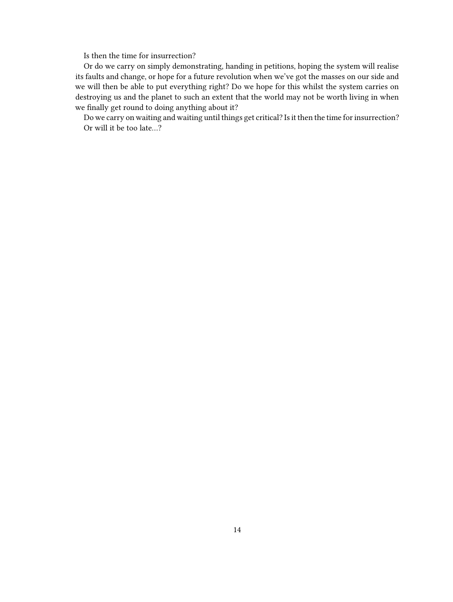Is then the time for insurrection?

Or do we carry on simply demonstrating, handing in petitions, hoping the system will realise its faults and change, or hope for a future revolution when we've got the masses on our side and we will then be able to put everything right? Do we hope for this whilst the system carries on destroying us and the planet to such an extent that the world may not be worth living in when we finally get round to doing anything about it?

Do we carry on waiting and waiting until things get critical? Is it then the time for insurrection? Or will it be too late…?